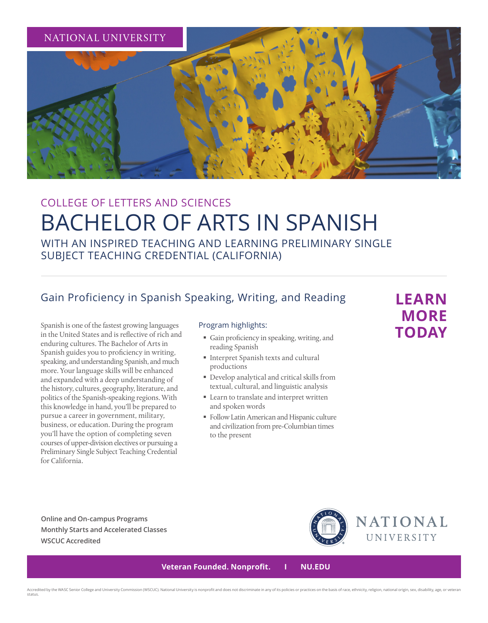

# COLLEGE OF LETTERS AND SCIENCES BACHELOR OF ARTS IN SPANISH

WITH AN INSPIRED TEACHING AND LEARNING PRELIMINARY SINGLE SUBJECT TEACHING CREDENTIAL (CALIFORNIA)

### Gain Proficiency in Spanish Speaking, Writing, and Reading

Spanish is one of the fastest growing languages in the United States and is reflective of rich and enduring cultures. The Bachelor of Arts in Spanish guides you to proficiency in writing, speaking, and understanding Spanish, and much more. Your language skills will be enhanced and expanded with a deep understanding of the history, cultures, geography, literature, and politics of the Spanish-speaking regions. With this knowledge in hand, you'll be prepared to pursue a career in government, military, business, or education. During the program you'll have the option of completing seven courses of upper-division electives or pursuing a Preliminary Single Subject Teaching Credential for California.

#### Program highlights:

- Gain proficiency in speaking, writing, and reading Spanish
- Interpret Spanish texts and cultural productions
- Develop analytical and critical skills from textual, cultural, and linguistic analysis
- Learn to translate and interpret written and spoken words
- Follow Latin American and Hispanic culture and civilization from pre-Columbian times to the present

## **LEARN MORE TODAY**

**Online and On-campus Programs Monthly Starts and Accelerated Classes WSCUC Accredited**



 **Veteran Founded. Nonprofit. I NU.EDU**

Accredited by the WASC Senior College and University Commission (WSCUC). National University is nonprofit and does not discriminate in any of its policies or practices on the basis of race, ethnicity, religion, national or status.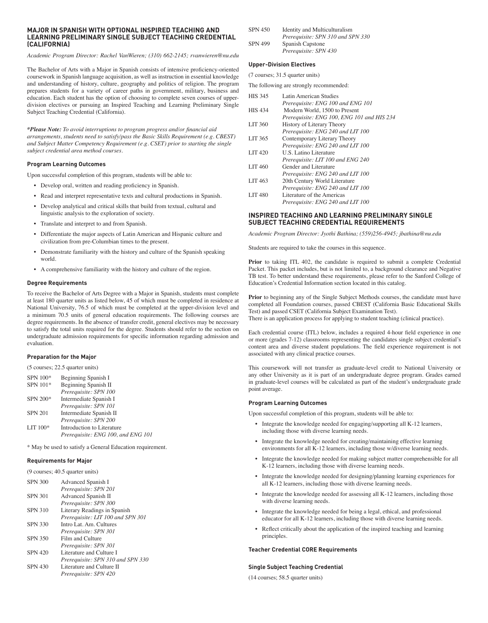#### **MAJOR IN SPANISH WITH OPTIONAL INSPIRED TEACHING AND LEARNING PRELIMINARY SINGLE SUBJECT TEACHING CREDENTIAL (CALIFORNIA)**

*Academic Program Director: Rachel VanWieren; (310) 662-2145; rvanwieren@nu.edu* 

The Bachelor of Arts with a Major in Spanish consists of intensive proficiency-oriented coursework in Spanish language acquisition, as well as instruction in essential knowledge and understanding of history, culture, geography and politics of religion. The program prepares students for a variety of career paths in government, military, business and education. Each student has the option of choosing to complete seven courses of upperdivision electives or pursuing an Inspired Teaching and Learning Preliminary Single Subject Teaching Credential (California).

*\*Please Note: To avoid interruptions to program progress and/or financial aid arrangements, students need to satisfy/pass the Basic Skills Requirement (e.g. CBEST) and Subject Matter Competency Requirement (e.g. CSET) prior to starting the single subject credential area method courses.*

#### **Program Learning Outcomes**

Upon successful completion of this program, students will be able to:

- Develop oral, written and reading proficiency in Spanish.
- Read and interpret representative texts and cultural productions in Spanish.
- Develop analytical and critical skills that build from textual, cultural and linguistic analysis to the exploration of society.
- Translate and interpret to and from Spanish.
- Differentiate the major aspects of Latin American and Hispanic culture and civilization from pre-Columbian times to the present.
- Demonstrate familiarity with the history and culture of the Spanish speaking world.
- A comprehensive familiarity with the history and culture of the region.

#### **Degree Requirements**

To receive the Bachelor of Arts Degree with a Major in Spanish, students must complete at least 180 quarter units as listed below, 45 of which must be completed in residence at National University, 76.5 of which must be completed at the upper-division level and a minimum 70.5 units of general education requirements. The following courses are degree requirements. In the absence of transfer credit, general electives may be necessary to satisfy the total units required for the degree. Students should refer to the section on undergraduate admission requirements for specific information regarding admission and evaluation.

#### **Preparation for the Major**

(5 courses; 22.5 quarter units)

| SPN 100*       | Beginning Spanish I                |
|----------------|------------------------------------|
| SPN 101*       | Beginning Spanish II               |
|                | Prerequisite: SPN 100              |
| SPN 200*       | Intermediate Spanish I             |
|                | Prerequisite: SPN 101              |
| <b>SPN 201</b> | Intermediate Spanish II            |
|                | Prerequisite: SPN 200              |
| LIT $100*$     | Introduction to Literature         |
|                | Prerequisite: ENG 100, and ENG 101 |

\* May be used to satisfy a General Education requirement.

#### **Requirements for Major**

(9 courses; 40.5 quarter units)

| <b>SPN 300</b> | Advanced Spanish I                |
|----------------|-----------------------------------|
|                | Prerequisite: SPN 201             |
| <b>SPN 301</b> | Advanced Spanish II               |
|                | Prerequisite: SPN 300             |
| <b>SPN 310</b> | Literary Readings in Spanish      |
|                | Prerequisite: LIT 100 and SPN 301 |
| <b>SPN 330</b> | Intro Lat. Am. Cultures           |
|                | Prerequisite: SPN 301             |
| <b>SPN 350</b> | Film and Culture                  |
|                | Prerequisite: SPN 301             |
| <b>SPN 420</b> | Literature and Culture I          |
|                | Prerequisite: SPN 310 and SPN 330 |
| <b>SPN 430</b> | Literature and Culture II         |
|                | Prerequisite: SPN 420             |

| <b>SPN 450</b> | Identity and Multiculturalism     |
|----------------|-----------------------------------|
|                | Prerequisite: SPN 310 and SPN 330 |
| <b>SPN 499</b> | Spanish Capstone                  |
|                | Prerequisite: SPN 430             |

#### **Upper-Division Electives**

(7 courses; 31.5 quarter units)

The following are strongly recommended:

| <b>HIS 345</b> | Latin American Studies                     |
|----------------|--------------------------------------------|
|                | Prerequisite: ENG 100 and ENG 101          |
| <b>HIS 434</b> | Modern World, 1500 to Present              |
|                | Prerequisite: ENG 100, ENG 101 and HIS 234 |
| <b>LIT 360</b> | History of Literary Theory                 |
|                | Prerequisite: ENG 240 and LIT 100          |
| LIT 365        | Contemporary Literary Theory               |
|                | Prerequisite: ENG 240 and LIT 100          |
| <b>LIT 420</b> | <b>U.S. Latino Literature</b>              |
|                | Prerequisite: LIT 100 and ENG 240          |
| <b>LIT 460</b> | Gender and Literature                      |
|                | Prerequisite: ENG 240 and LIT 100          |
| LIT 463        | 20th Century World Literature              |
|                | Prerequisite: ENG 240 and LIT 100          |
| <b>LIT 480</b> | Literature of the Americas                 |
|                | Prerequisite: ENG 240 and LIT 100          |
|                |                                            |

#### **INSPIRED TEACHING AND LEARNING PRELIMINARY SINGLE SUBJECT TEACHING CREDENTIAL REQUIREMENTS**

*Academic Program Director: Jyothi Bathina; (559)256-4945; jbathina@nu.edu*

Students are required to take the courses in this sequence.

**Prior** to taking ITL 402, the candidate is required to submit a complete Credential Packet. This packet includes, but is not limited to, a background clearance and Negative TB test. To better understand these requirements, please refer to the Sanford College of Education's Credential Information section located in this catalog.

Prior to beginning any of the Single Subject Methods courses, the candidate must have completed all Foundation courses, passed CBEST (California Basic Educational Skills Test) and passed CSET (California Subject Examination Test).

There is an application process for applying to student teaching (clinical practice).

Each credential course (ITL) below, includes a required 4-hour field experience in one or more (grades 7-12) classrooms representing the candidates single subject credential's content area and diverse student populations. The field experience requirement is not associated with any clinical practice courses.

This coursework will not transfer as graduate-level credit to National University or any other University as it is part of an undergraduate degree program. Grades earned in graduate-level courses will be calculated as part of the student's undergraduate grade point average.

#### **Program Learning Outcomes**

Upon successful completion of this program, students will be able to:

- Integrate the knowledge needed for engaging/supporting all K-12 learners, including those with diverse learning needs.
- Integrate the knowledge needed for creating/maintaining effective learning environments for all K-12 learners, including those w/diverse learning needs.
- Integrate the knowledge needed for making subject matter comprehensible for all K-12 learners, including those with diverse learning needs.
- Integrate the knowledge needed for designing/planning learning experiences for all K-12 learners, including those with diverse learning needs.
- Integrate the knowledge needed for assessing all K-12 learners, including those with diverse learning needs.
- Integrate the knowledge needed for being a legal, ethical, and professional educator for all K-12 learners, including those with diverse learning needs.
- Reflect critically about the application of the inspired teaching and learning principles.

#### **Teacher Credential CORE Requirements**

#### **Single Subject Teaching Credential**

(14 courses; 58.5 quarter units)